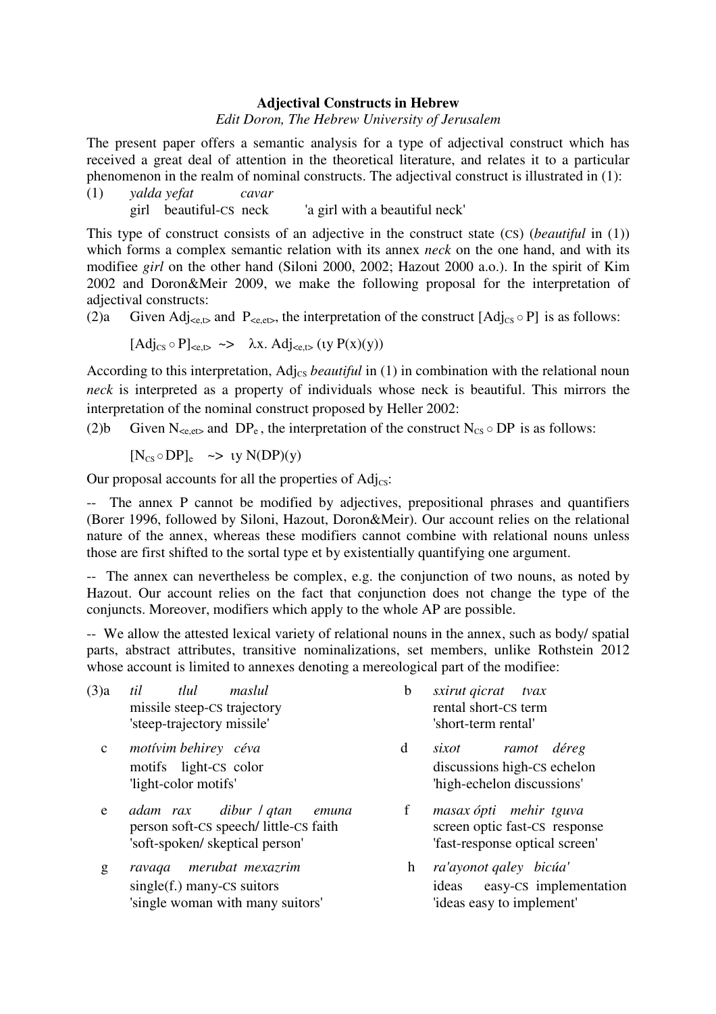## **Adjectival Constructs in Hebrew**

## *Edit Doron, The Hebrew University of Jerusalem*

The present paper offers a semantic analysis for a type of adjectival construct which has received a great deal of attention in the theoretical literature, and relates it to a particular phenomenon in the realm of nominal constructs. The adjectival construct is illustrated in (1):

(1) *yalda yefat cavar*  girl beautiful-CS neck 'a girl with a beautiful neck'

This type of construct consists of an adjective in the construct state (CS) (*beautiful* in (1)) which forms a complex semantic relation with its annex *neck* on the one hand, and with its modifiee *girl* on the other hand (Siloni 2000, 2002; Hazout 2000 a.o.). In the spirit of Kim 2002 and Doron&Meir 2009, we make the following proposal for the interpretation of adjectival constructs:

(2)a Given Adj<sub>setb</sub> and P<sub>setb</sub>, the interpretation of the construct  $[Adj_{CS} \circ P]$  is as follows:

$$
[Adj_{\text{CS}} \circ P]_{\text{CE},\text{D}} \iff \lambda x. \text{Adj}_{\text{CE},\text{D}} \text{ (y P(x)(y))}
$$

According to this interpretation, Adj<sub>cs</sub> *beautiful* in (1) in combination with the relational noun *neck* is interpreted as a property of individuals whose neck is beautiful. This mirrors the interpretation of the nominal construct proposed by Heller 2002:

(2)b Given N<sub>se, et</sub>, and DP<sub>e</sub>, the interpretation of the construct N<sub>CS</sub>  $\circ$  DP is as follows:

 $[N_{CS} \circ DP]_e \Rightarrow \text{uv } N(DP)(\text{v})$ 

Our proposal accounts for all the properties of  $\text{Adj}_{\text{CS}}$ :

-- The annex P cannot be modified by adjectives, prepositional phrases and quantifiers (Borer 1996, followed by Siloni, Hazout, Doron&Meir). Our account relies on the relational nature of the annex, whereas these modifiers cannot combine with relational nouns unless those are first shifted to the sortal type et by existentially quantifying one argument.

-- The annex can nevertheless be complex, e.g. the conjunction of two nouns, as noted by Hazout. Our account relies on the fact that conjunction does not change the type of the conjuncts. Moreover, modifiers which apply to the whole AP are possible.

-- We allow the attested lexical variety of relational nouns in the annex, such as body/ spatial parts, abstract attributes, transitive nominalizations, set members, unlike Rothstein 2012 whose account is limited to annexes denoting a mereological part of the modifiee:

| (3)a         | til<br>tlul<br>maslul<br>missile steep-CS trajectory<br>'steep-trajectory missile'                                | b            | <i>sxirut gicrat</i><br>tvax<br>rental short-CS term<br>'short-term rental'               |
|--------------|-------------------------------------------------------------------------------------------------------------------|--------------|-------------------------------------------------------------------------------------------|
| $\mathbf{C}$ | motívim behirey céva<br>motifs light-CS color<br>'light-color motifs'                                             | d            | ramot déreg<br>sixot<br>discussions high-CS echelon<br>'high-echelon discussions'         |
| e            | adam rax dibur <i>l</i> qtan<br>етипа<br>person soft-CS speech/little-CS faith<br>'soft-spoken/ skeptical person' | $\mathbf f$  | masax ópti mehir tguva<br>screen optic fast-CS response<br>'fast-response optical screen' |
| g            | merubat mexazrim<br>ravaga<br>$single(f.)$ many- $CS$ suitors<br>'single woman with many suitors'                 | $\mathbf{h}$ | ra'ayonot qaley bicúa'<br>easy-CS implementation<br>ideas<br>'ideas easy to implement'    |